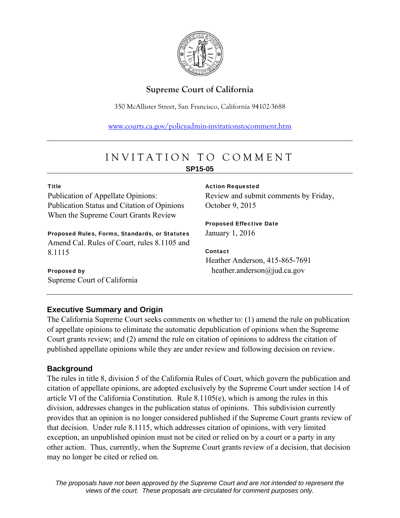

# **Supreme Court of California**

350 McAllister Street, San Francisco, California 94102-3688

www.courts.ca.gov/policyadmin-invitationstocomment.htm

# INVITATION TO COMMENT **SP15-05**

#### Title

Publication of Appellate Opinions: Publication Status and Citation of Opinions When the Supreme Court Grants Review

### Proposed Rules, Forms, Standards, or Statutes

Amend Cal. Rules of Court, rules 8.1105 and 8.1115

### Proposed by

Supreme Court of California

#### Action Requested

Review and submit comments by Friday, October 9, 2015

### Proposed Effective Date January 1, 2016

Contact

Heather Anderson, 415-865-7691 heather.anderson@jud.ca.gov

# **Executive Summary and Origin**

The California Supreme Court seeks comments on whether to: (1) amend the rule on publication of appellate opinions to eliminate the automatic depublication of opinions when the Supreme Court grants review; and (2) amend the rule on citation of opinions to address the citation of published appellate opinions while they are under review and following decision on review.

# **Background**

The rules in title 8, division 5 of the California Rules of Court, which govern the publication and citation of appellate opinions, are adopted exclusively by the Supreme Court under section 14 of article VI of the California Constitution. Rule  $8.1105(e)$ , which is among the rules in this division, addresses changes in the publication status of opinions. This subdivision currently provides that an opinion is no longer considered published if the Supreme Court grants review of that decision. Under rule 8.1115, which addresses citation of opinions, with very limited exception, an unpublished opinion must not be cited or relied on by a court or a party in any other action. Thus, currently, when the Supreme Court grants review of a decision, that decision may no longer be cited or relied on.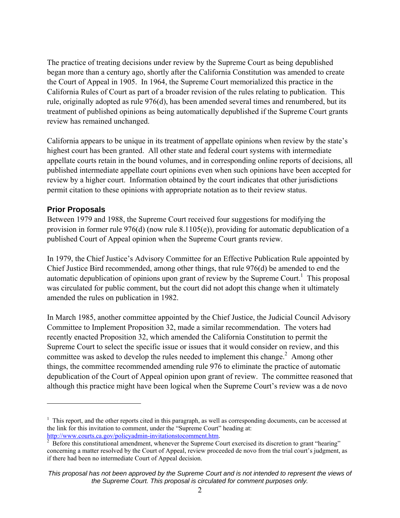The practice of treating decisions under review by the Supreme Court as being depublished began more than a century ago, shortly after the California Constitution was amended to create the Court of Appeal in 1905. In 1964, the Supreme Court memorialized this practice in the California Rules of Court as part of a broader revision of the rules relating to publication. This rule, originally adopted as rule 976(d), has been amended several times and renumbered, but its treatment of published opinions as being automatically depublished if the Supreme Court grants review has remained unchanged.

California appears to be unique in its treatment of appellate opinions when review by the state's highest court has been granted. All other state and federal court systems with intermediate appellate courts retain in the bound volumes, and in corresponding online reports of decisions, all published intermediate appellate court opinions even when such opinions have been accepted for review by a higher court. Information obtained by the court indicates that other jurisdictions permit citation to these opinions with appropriate notation as to their review status.

# **Prior Proposals**

 $\overline{a}$ 

Between 1979 and 1988, the Supreme Court received four suggestions for modifying the provision in former rule 976(d) (now rule 8.1105(e)), providing for automatic depublication of a published Court of Appeal opinion when the Supreme Court grants review.

In 1979, the Chief Justice's Advisory Committee for an Effective Publication Rule appointed by Chief Justice Bird recommended, among other things, that rule 976(d) be amended to end the automatic depublication of opinions upon grant of review by the Supreme Court.<sup>1</sup> This proposal was circulated for public comment, but the court did not adopt this change when it ultimately amended the rules on publication in 1982.

In March 1985, another committee appointed by the Chief Justice, the Judicial Council Advisory Committee to Implement Proposition 32, made a similar recommendation. The voters had recently enacted Proposition 32, which amended the California Constitution to permit the Supreme Court to select the specific issue or issues that it would consider on review, and this committee was asked to develop the rules needed to implement this change.<sup>2</sup> Among other things, the committee recommended amending rule 976 to eliminate the practice of automatic depublication of the Court of Appeal opinion upon grant of review. The committee reasoned that although this practice might have been logical when the Supreme Court's review was a de novo

<sup>&</sup>lt;sup>1</sup> This report, and the other reports cited in this paragraph, as well as corresponding documents, can be accessed at the link for this invitation to comment, under the "Supreme Court" heading at: http://www.courts.ca.gov/policyadmin-invitationstocomment.htm. 2

 $\overline{P}$  Before this constitutional amendment, whenever the Supreme Court exercised its discretion to grant "hearing" concerning a matter resolved by the Court of Appeal, review proceeded de novo from the trial court's judgment, as if there had been no intermediate Court of Appeal decision.

*This proposal has not been approved by the Supreme Court and is not intended to represent the views of the Supreme Court. This proposal is circulated for comment purposes only.*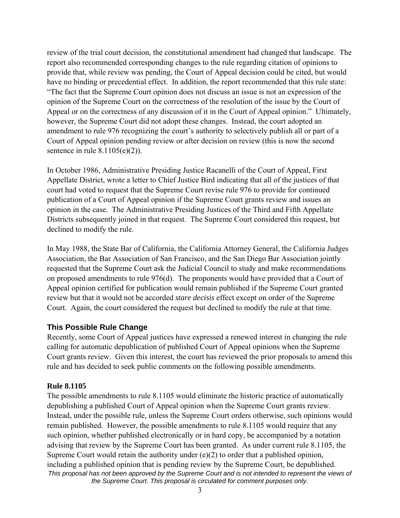review of the trial court decision, the constitutional amendment had changed that landscape. The report also recommended corresponding changes to the rule regarding citation of opinions to provide that, while review was pending, the Court of Appeal decision could be cited, but would have no binding or precedential effect. In addition, the report recommended that this rule state: "The fact that the Supreme Court opinion does not discuss an issue is not an expression of the opinion of the Supreme Court on the correctness of the resolution of the issue by the Court of Appeal or on the correctness of any discussion of it in the Court of Appeal opinion." Ultimately, however, the Supreme Court did not adopt these changes. Instead, the court adopted an amendment to rule 976 recognizing the court's authority to selectively publish all or part of a Court of Appeal opinion pending review or after decision on review (this is now the second sentence in rule  $8.1105(e)(2)$ ).

In October 1986, Administrative Presiding Justice Racanelli of the Court of Appeal, First Appellate District, wrote a letter to Chief Justice Bird indicating that all of the justices of that court had voted to request that the Supreme Court revise rule 976 to provide for continued publication of a Court of Appeal opinion if the Supreme Court grants review and issues an opinion in the case. The Administrative Presiding Justices of the Third and Fifth Appellate Districts subsequently joined in that request. The Supreme Court considered this request, but declined to modify the rule.

In May 1988, the State Bar of California, the California Attorney General, the California Judges Association, the Bar Association of San Francisco, and the San Diego Bar Association jointly requested that the Supreme Court ask the Judicial Council to study and make recommendations on proposed amendments to rule 976(d). The proponents would have provided that a Court of Appeal opinion certified for publication would remain published if the Supreme Court granted review but that it would not be accorded *stare decisis* effect except on order of the Supreme Court. Again, the court considered the request but declined to modify the rule at that time.

# **This Possible Rule Change**

Recently, some Court of Appeal justices have expressed a renewed interest in changing the rule calling for automatic depublication of published Court of Appeal opinions when the Supreme Court grants review. Given this interest, the court has reviewed the prior proposals to amend this rule and has decided to seek public comments on the following possible amendments.

### **Rule 8.1105**

*This proposal has not been approved by the Supreme Court and is not intended to represent the views of the Supreme Court. This proposal is circulated for comment purposes only.*  The possible amendments to rule 8.1105 would eliminate the historic practice of automatically depublishing a published Court of Appeal opinion when the Supreme Court grants review. Instead, under the possible rule, unless the Supreme Court orders otherwise, such opinions would remain published. However, the possible amendments to rule 8.1105 would require that any such opinion, whether published electronically or in hard copy, be accompanied by a notation advising that review by the Supreme Court has been granted. As under current rule 8.1105, the Supreme Court would retain the authority under (e)(2) to order that a published opinion, including a published opinion that is pending review by the Supreme Court, be depublished.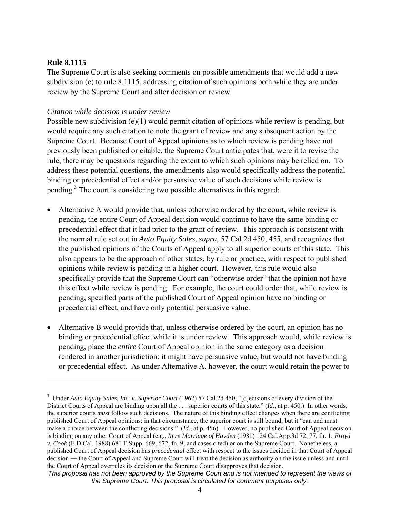## **Rule 8.1115**

 $\overline{a}$ 

The Supreme Court is also seeking comments on possible amendments that would add a new subdivision (e) to rule 8.1115, addressing citation of such opinions both while they are under review by the Supreme Court and after decision on review.

## *Citation while decision is under review*

Possible new subdivision (e)(1) would permit citation of opinions while review is pending, but would require any such citation to note the grant of review and any subsequent action by the Supreme Court. Because Court of Appeal opinions as to which review is pending have not previously been published or citable, the Supreme Court anticipates that, were it to revise the rule, there may be questions regarding the extent to which such opinions may be relied on. To address these potential questions, the amendments also would specifically address the potential binding or precedential effect and/or persuasive value of such decisions while review is pending.<sup>3</sup> The court is considering two possible alternatives in this regard:

- Alternative A would provide that, unless otherwise ordered by the court, while review is pending, the entire Court of Appeal decision would continue to have the same binding or precedential effect that it had prior to the grant of review. This approach is consistent with the normal rule set out in *Auto Equity Sales, supra*, 57 Cal.2d 450, 455, and recognizes that the published opinions of the Courts of Appeal apply to all superior courts of this state. This also appears to be the approach of other states, by rule or practice, with respect to published opinions while review is pending in a higher court. However, this rule would also specifically provide that the Supreme Court can "otherwise order" that the opinion not have this effect while review is pending. For example, the court could order that, while review is pending, specified parts of the published Court of Appeal opinion have no binding or precedential effect, and have only potential persuasive value.
- Alternative B would provide that, unless otherwise ordered by the court, an opinion has no binding or precedential effect while it is under review. This approach would, while review is pending, place the *entire* Court of Appeal opinion in the same category as a decision rendered in another jurisdiction: it might have persuasive value, but would not have binding or precedential effect. As under Alternative A, however, the court would retain the power to

<sup>&</sup>lt;sup>3</sup> Under *Auto Equity Sales, Inc. v. Superior Court* (1962) 57 Cal.2d 450, "[d]ecisions of every division of the District Courts of Appeal are binding upon all the . . . superior courts of this state." (*Id*., at p. 450.) In other words, the superior courts *must* follow such decisions. The nature of this binding effect changes when there are conflicting published Court of Appeal opinions: in that circumstance, the superior court is still bound, but it "can and must make a choice between the conflicting decisions." (*Id*., at p. 456). However, no published Court of Appeal decision is binding on any other Court of Appeal (e.g., *In re Marriage of Hayden* (1981) 124 Cal.App.3d 72, 77, fn. 1; *Froyd v. Cook* (E.D.Cal. 1988) 681 F.Supp. 669, 672, fn. 9, and cases cited) or on the Supreme Court. Nonetheless, a published Court of Appeal decision has *precedential* effect with respect to the issues decided in that Court of Appeal decision ― the Court of Appeal and Supreme Court will treat the decision as authority on the issue unless and until the Court of Appeal overrules its decision or the Supreme Court disapproves that decision.

*This proposal has not been approved by the Supreme Court and is not intended to represent the views of the Supreme Court. This proposal is circulated for comment purposes only.*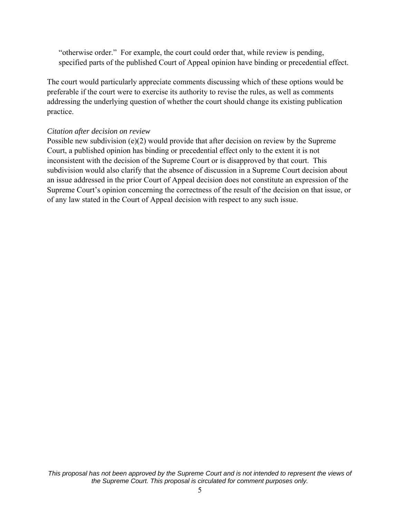"otherwise order." For example, the court could order that, while review is pending, specified parts of the published Court of Appeal opinion have binding or precedential effect.

The court would particularly appreciate comments discussing which of these options would be preferable if the court were to exercise its authority to revise the rules, as well as comments addressing the underlying question of whether the court should change its existing publication practice.

### *Citation after decision on review*

Possible new subdivision (e)(2) would provide that after decision on review by the Supreme Court, a published opinion has binding or precedential effect only to the extent it is not inconsistent with the decision of the Supreme Court or is disapproved by that court. This subdivision would also clarify that the absence of discussion in a Supreme Court decision about an issue addressed in the prior Court of Appeal decision does not constitute an expression of the Supreme Court's opinion concerning the correctness of the result of the decision on that issue, or of any law stated in the Court of Appeal decision with respect to any such issue.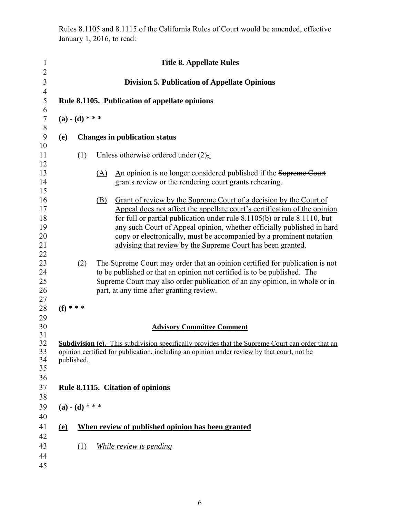|                                                |                   | <b>Title 8. Appellate Rules</b>                                                                                                                                                                                                                                                                                                                                                                                                                    |  |  |  |
|------------------------------------------------|-------------------|----------------------------------------------------------------------------------------------------------------------------------------------------------------------------------------------------------------------------------------------------------------------------------------------------------------------------------------------------------------------------------------------------------------------------------------------------|--|--|--|
|                                                |                   | <b>Division 5. Publication of Appellate Opinions</b>                                                                                                                                                                                                                                                                                                                                                                                               |  |  |  |
| Rule 8.1105. Publication of appellate opinions |                   |                                                                                                                                                                                                                                                                                                                                                                                                                                                    |  |  |  |
|                                                | $(a) - (d) * * *$ |                                                                                                                                                                                                                                                                                                                                                                                                                                                    |  |  |  |
| (e)                                            |                   | <b>Changes in publication status</b>                                                                                                                                                                                                                                                                                                                                                                                                               |  |  |  |
|                                                | (1)               | Unless otherwise ordered under $(2)$ .                                                                                                                                                                                                                                                                                                                                                                                                             |  |  |  |
|                                                |                   | An opinion is no longer considered published if the Supreme Court<br>(A)<br>grants review or the rendering court grants rehearing.                                                                                                                                                                                                                                                                                                                 |  |  |  |
|                                                |                   | Grant of review by the Supreme Court of a decision by the Court of<br>(B)<br>Appeal does not affect the appellate court's certification of the opinion<br>for full or partial publication under rule 8.1105(b) or rule 8.1110, but<br>any such Court of Appeal opinion, whether officially published in hard<br>copy or electronically, must be accompanied by a prominent notation<br>advising that review by the Supreme Court has been granted. |  |  |  |
|                                                | (2)               | The Supreme Court may order that an opinion certified for publication is not<br>to be published or that an opinion not certified is to be published. The<br>Supreme Court may also order publication of an any opinion, in whole or in<br>part, at any time after granting review.                                                                                                                                                                 |  |  |  |
| $(f)$ * * *                                    |                   |                                                                                                                                                                                                                                                                                                                                                                                                                                                    |  |  |  |
|                                                |                   | <b>Advisory Committee Comment</b>                                                                                                                                                                                                                                                                                                                                                                                                                  |  |  |  |
|                                                | published.        | <b>Subdivision (e).</b> This subdivision specifically provides that the Supreme Court can order that an<br>opinion certified for publication, including an opinion under review by that court, not be                                                                                                                                                                                                                                              |  |  |  |
|                                                |                   | Rule 8.1115. Citation of opinions                                                                                                                                                                                                                                                                                                                                                                                                                  |  |  |  |
|                                                | $(a) - (d) * * *$ |                                                                                                                                                                                                                                                                                                                                                                                                                                                    |  |  |  |
| <u>(e)</u>                                     |                   | When review of published opinion has been granted                                                                                                                                                                                                                                                                                                                                                                                                  |  |  |  |
|                                                | (1)               | While review is pending                                                                                                                                                                                                                                                                                                                                                                                                                            |  |  |  |